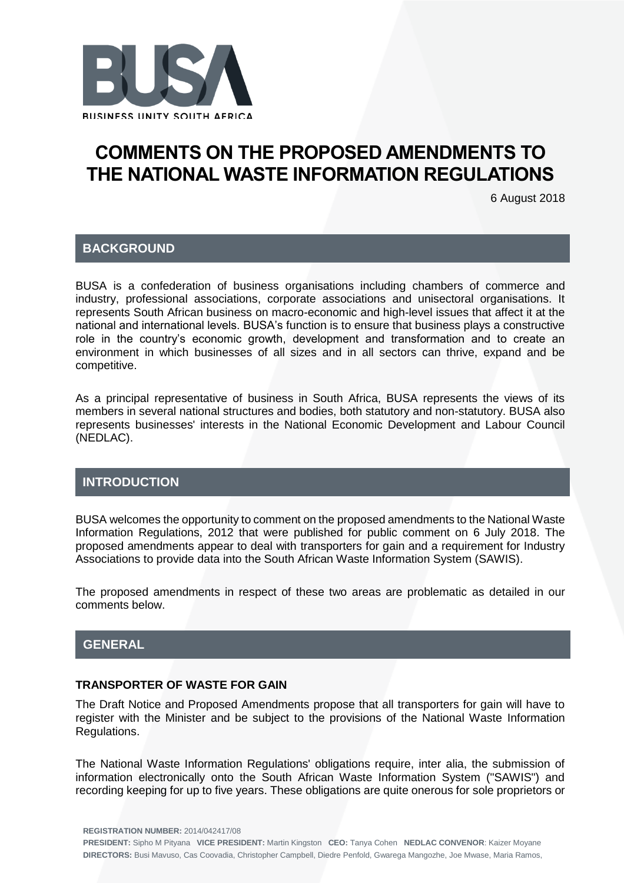

# **COMMENTS ON THE PROPOSED AMENDMENTS TO THE NATIONAL WASTE INFORMATION REGULATIONS**

6 August 2018

#### **BACKGROUND**

BUSA is a confederation of business organisations including chambers of commerce and industry, professional associations, corporate associations and unisectoral organisations. It represents South African business on macro-economic and high-level issues that affect it at the national and international levels. BUSA's function is to ensure that business plays a constructive role in the country's economic growth, development and transformation and to create an environment in which businesses of all sizes and in all sectors can thrive, expand and be competitive.

As a principal representative of business in South Africa, BUSA represents the views of its members in several national structures and bodies, both statutory and non-statutory. BUSA also represents businesses' interests in the National Economic Development and Labour Council (NEDLAC).

## **INTRODUCTION**

BUSA welcomes the opportunity to comment on the proposed amendments to the National Waste Information Regulations, 2012 that were published for public comment on 6 July 2018. The proposed amendments appear to deal with transporters for gain and a requirement for Industry Associations to provide data into the South African Waste Information System (SAWIS).

The proposed amendments in respect of these two areas are problematic as detailed in our comments below.

## **GENERAL**

### **TRANSPORTER OF WASTE FOR GAIN**

The Draft Notice and Proposed Amendments propose that all transporters for gain will have to register with the Minister and be subject to the provisions of the National Waste Information Regulations.

The National Waste Information Regulations' obligations require, inter alia, the submission of information electronically onto the South African Waste Information System ("SAWIS") and recording keeping for up to five years. These obligations are quite onerous for sole proprietors or

**REGISTRATION NUMBER:** 2014/042417/08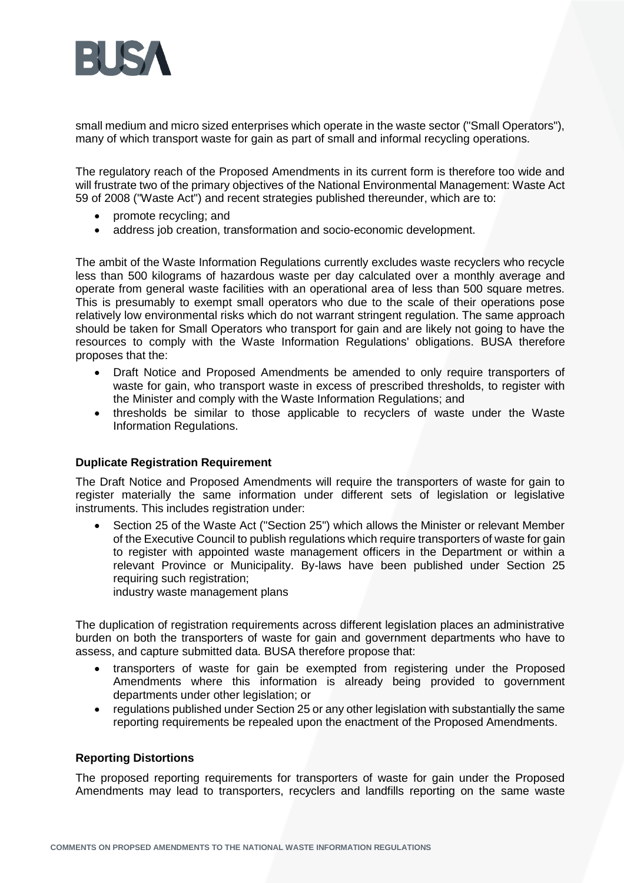

small medium and micro sized enterprises which operate in the waste sector ("Small Operators"), many of which transport waste for gain as part of small and informal recycling operations.

The regulatory reach of the Proposed Amendments in its current form is therefore too wide and will frustrate two of the primary objectives of the National Environmental Management: Waste Act 59 of 2008 ("Waste Act") and recent strategies published thereunder, which are to:

- promote recycling; and
- address job creation, transformation and socio-economic development.

The ambit of the Waste Information Regulations currently excludes waste recyclers who recycle less than 500 kilograms of hazardous waste per day calculated over a monthly average and operate from general waste facilities with an operational area of less than 500 square metres. This is presumably to exempt small operators who due to the scale of their operations pose relatively low environmental risks which do not warrant stringent regulation. The same approach should be taken for Small Operators who transport for gain and are likely not going to have the resources to comply with the Waste Information Regulations' obligations. BUSA therefore proposes that the:

- Draft Notice and Proposed Amendments be amended to only require transporters of waste for gain, who transport waste in excess of prescribed thresholds, to register with the Minister and comply with the Waste Information Regulations; and
- thresholds be similar to those applicable to recyclers of waste under the Waste Information Regulations.

#### **Duplicate Registration Requirement**

The Draft Notice and Proposed Amendments will require the transporters of waste for gain to register materially the same information under different sets of legislation or legislative instruments. This includes registration under:

• Section 25 of the Waste Act ("Section 25") which allows the Minister or relevant Member of the Executive Council to publish regulations which require transporters of waste for gain to register with appointed waste management officers in the Department or within a relevant Province or Municipality. By-laws have been published under Section 25 requiring such registration;

industry waste management plans

The duplication of registration requirements across different legislation places an administrative burden on both the transporters of waste for gain and government departments who have to assess, and capture submitted data. BUSA therefore propose that:

- transporters of waste for gain be exempted from registering under the Proposed Amendments where this information is already being provided to government departments under other legislation; or
- regulations published under Section 25 or any other legislation with substantially the same reporting requirements be repealed upon the enactment of the Proposed Amendments.

#### **Reporting Distortions**

The proposed reporting requirements for transporters of waste for gain under the Proposed Amendments may lead to transporters, recyclers and landfills reporting on the same waste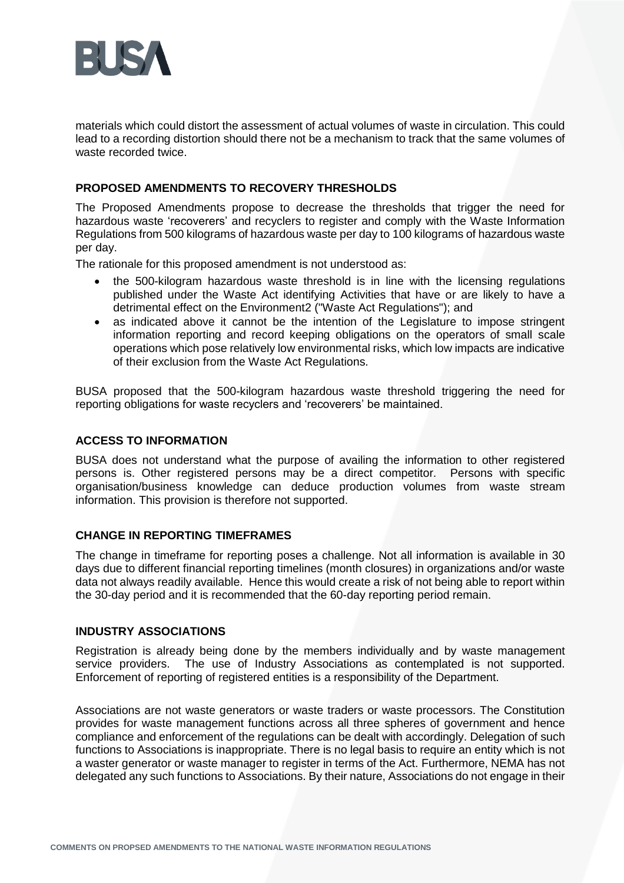

materials which could distort the assessment of actual volumes of waste in circulation. This could lead to a recording distortion should there not be a mechanism to track that the same volumes of waste recorded twice.

#### **PROPOSED AMENDMENTS TO RECOVERY THRESHOLDS**

The Proposed Amendments propose to decrease the thresholds that trigger the need for hazardous waste 'recoverers' and recyclers to register and comply with the Waste Information Regulations from 500 kilograms of hazardous waste per day to 100 kilograms of hazardous waste per day.

The rationale for this proposed amendment is not understood as:

- the 500-kilogram hazardous waste threshold is in line with the licensing regulations published under the Waste Act identifying Activities that have or are likely to have a detrimental effect on the Environment2 ("Waste Act Regulations"); and
- as indicated above it cannot be the intention of the Legislature to impose stringent information reporting and record keeping obligations on the operators of small scale operations which pose relatively low environmental risks, which low impacts are indicative of their exclusion from the Waste Act Regulations.

BUSA proposed that the 500-kilogram hazardous waste threshold triggering the need for reporting obligations for waste recyclers and 'recoverers' be maintained.

#### **ACCESS TO INFORMATION**

BUSA does not understand what the purpose of availing the information to other registered persons is. Other registered persons may be a direct competitor. Persons with specific organisation/business knowledge can deduce production volumes from waste stream information. This provision is therefore not supported.

#### **CHANGE IN REPORTING TIMEFRAMES**

The change in timeframe for reporting poses a challenge. Not all information is available in 30 days due to different financial reporting timelines (month closures) in organizations and/or waste data not always readily available. Hence this would create a risk of not being able to report within the 30-day period and it is recommended that the 60-day reporting period remain.

#### **INDUSTRY ASSOCIATIONS**

Registration is already being done by the members individually and by waste management service providers. The use of Industry Associations as contemplated is not supported. Enforcement of reporting of registered entities is a responsibility of the Department.

Associations are not waste generators or waste traders or waste processors. The Constitution provides for waste management functions across all three spheres of government and hence compliance and enforcement of the regulations can be dealt with accordingly. Delegation of such functions to Associations is inappropriate. There is no legal basis to require an entity which is not a waster generator or waste manager to register in terms of the Act. Furthermore, NEMA has not delegated any such functions to Associations. By their nature, Associations do not engage in their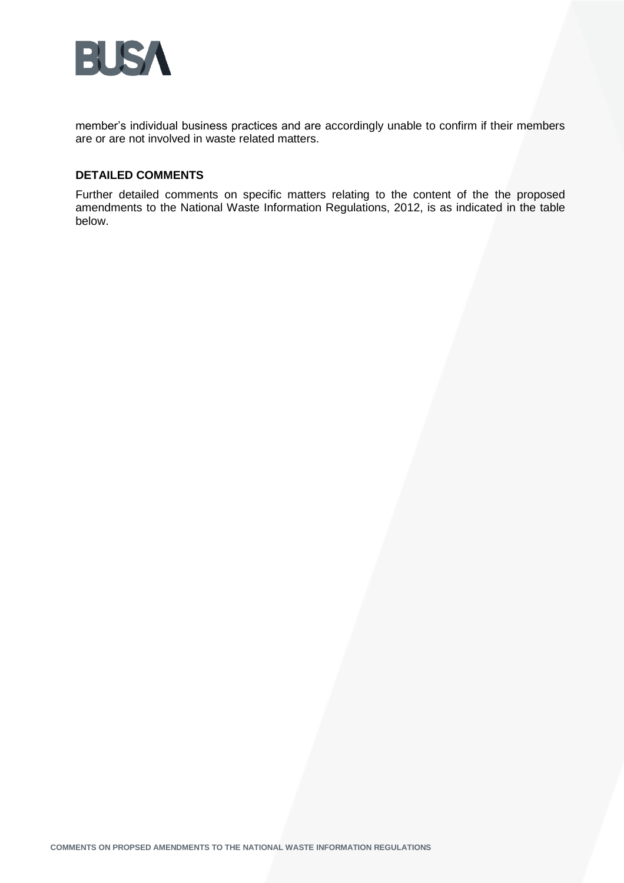

member's individual business practices and are accordingly unable to confirm if their members are or are not involved in waste related matters.

#### **DETAILED COMMENTS**

Further detailed comments on specific matters relating to the content of the the proposed amendments to the National Waste Information Regulations, 2012, is as indicated in the table below.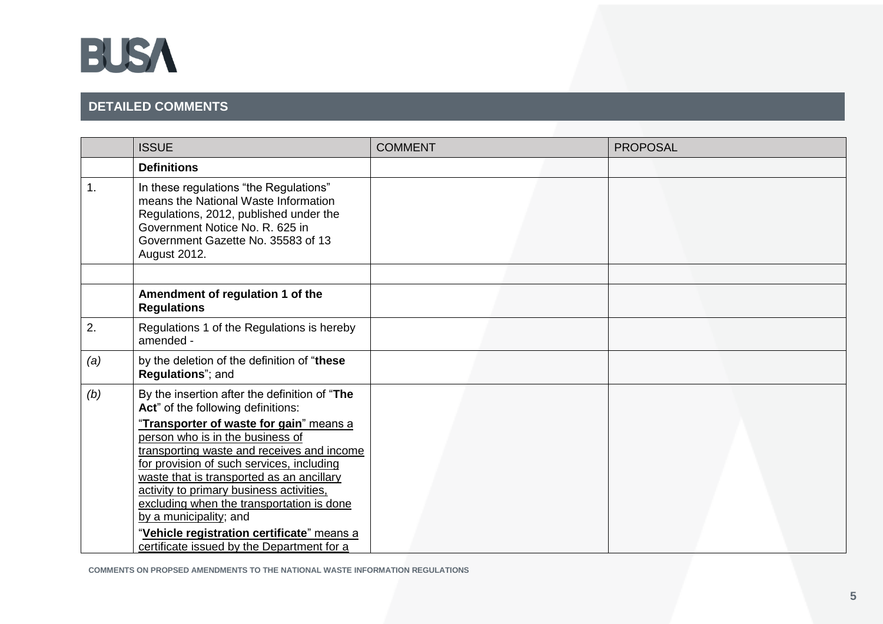

# **DETAILED COMMENTS**

|     | <b>ISSUE</b>                                                                                                                                                                                                                                                                                                                                                                                                                       | <b>COMMENT</b> | <b>PROPOSAL</b> |
|-----|------------------------------------------------------------------------------------------------------------------------------------------------------------------------------------------------------------------------------------------------------------------------------------------------------------------------------------------------------------------------------------------------------------------------------------|----------------|-----------------|
|     | <b>Definitions</b>                                                                                                                                                                                                                                                                                                                                                                                                                 |                |                 |
| 1.  | In these regulations "the Regulations"<br>means the National Waste Information<br>Regulations, 2012, published under the<br>Government Notice No. R. 625 in<br>Government Gazette No. 35583 of 13<br>August 2012.                                                                                                                                                                                                                  |                |                 |
|     | Amendment of regulation 1 of the<br><b>Regulations</b>                                                                                                                                                                                                                                                                                                                                                                             |                |                 |
| 2.  | Regulations 1 of the Regulations is hereby<br>amended -                                                                                                                                                                                                                                                                                                                                                                            |                |                 |
| (a) | by the deletion of the definition of "these<br>Regulations"; and                                                                                                                                                                                                                                                                                                                                                                   |                |                 |
| (b) | By the insertion after the definition of "The<br>Act" of the following definitions:                                                                                                                                                                                                                                                                                                                                                |                |                 |
|     | "Transporter of waste for gain" means a<br>person who is in the business of<br>transporting waste and receives and income<br>for provision of such services, including<br>waste that is transported as an ancillary<br>activity to primary business activities,<br>excluding when the transportation is done<br>by a municipality; and<br>"Vehicle registration certificate" means a<br>certificate issued by the Department for a |                |                 |

**COMMENTS ON PROPSED AMENDMENTS TO THE NATIONAL WASTE INFORMATION REGULATIONS**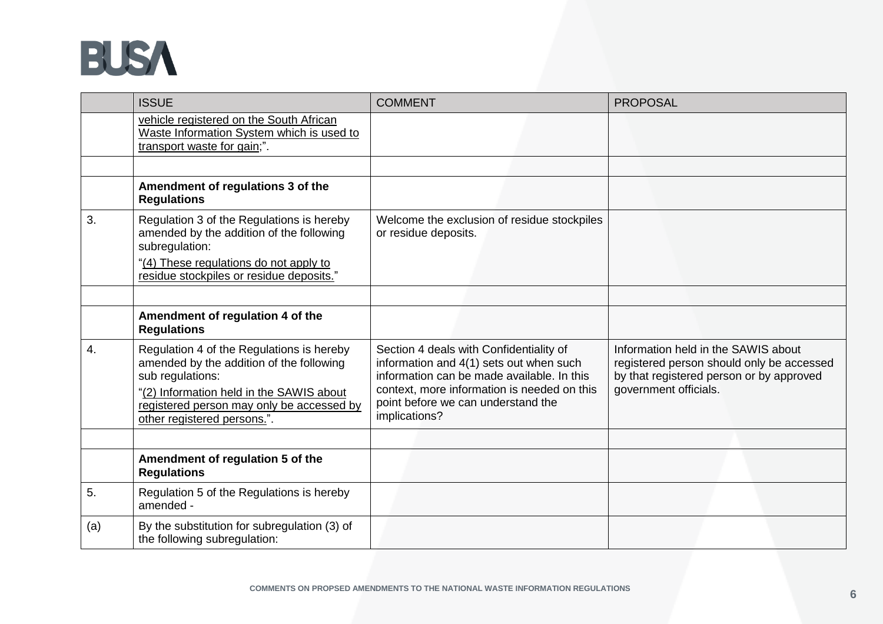

|     | <b>ISSUE</b>                                                                                                                                                                                                                      | <b>COMMENT</b>                                                                                                                                                                                                                         | <b>PROPOSAL</b>                                                                                                                                       |
|-----|-----------------------------------------------------------------------------------------------------------------------------------------------------------------------------------------------------------------------------------|----------------------------------------------------------------------------------------------------------------------------------------------------------------------------------------------------------------------------------------|-------------------------------------------------------------------------------------------------------------------------------------------------------|
|     | vehicle registered on the South African<br>Waste Information System which is used to<br>transport waste for gain;".                                                                                                               |                                                                                                                                                                                                                                        |                                                                                                                                                       |
|     |                                                                                                                                                                                                                                   |                                                                                                                                                                                                                                        |                                                                                                                                                       |
|     | Amendment of regulations 3 of the<br><b>Regulations</b>                                                                                                                                                                           |                                                                                                                                                                                                                                        |                                                                                                                                                       |
| 3.  | Regulation 3 of the Regulations is hereby<br>amended by the addition of the following<br>subregulation:<br>"(4) These regulations do not apply to<br>residue stockpiles or residue deposits."                                     | Welcome the exclusion of residue stockpiles<br>or residue deposits.                                                                                                                                                                    |                                                                                                                                                       |
|     |                                                                                                                                                                                                                                   |                                                                                                                                                                                                                                        |                                                                                                                                                       |
|     | Amendment of regulation 4 of the<br><b>Regulations</b>                                                                                                                                                                            |                                                                                                                                                                                                                                        |                                                                                                                                                       |
| 4.  | Regulation 4 of the Regulations is hereby<br>amended by the addition of the following<br>sub regulations:<br>"(2) Information held in the SAWIS about<br>registered person may only be accessed by<br>other registered persons.". | Section 4 deals with Confidentiality of<br>information and 4(1) sets out when such<br>information can be made available. In this<br>context, more information is needed on this<br>point before we can understand the<br>implications? | Information held in the SAWIS about<br>registered person should only be accessed<br>by that registered person or by approved<br>government officials. |
|     |                                                                                                                                                                                                                                   |                                                                                                                                                                                                                                        |                                                                                                                                                       |
|     | Amendment of regulation 5 of the<br><b>Regulations</b>                                                                                                                                                                            |                                                                                                                                                                                                                                        |                                                                                                                                                       |
| 5.  | Regulation 5 of the Regulations is hereby<br>amended -                                                                                                                                                                            |                                                                                                                                                                                                                                        |                                                                                                                                                       |
| (a) | By the substitution for subregulation (3) of<br>the following subregulation:                                                                                                                                                      |                                                                                                                                                                                                                                        |                                                                                                                                                       |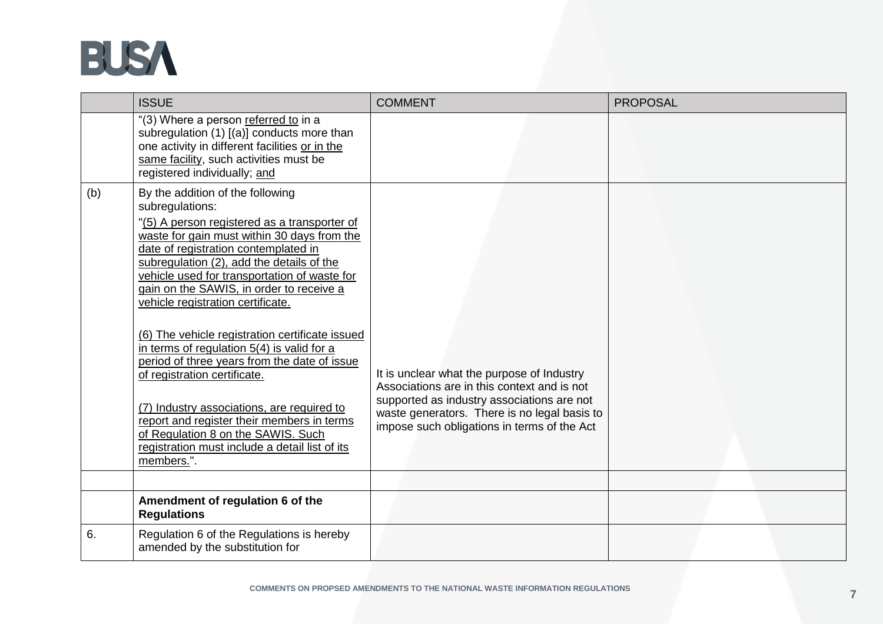

|     | <b>ISSUE</b>                                                                                                                                                                                                                                                                                                                                                                                                                                                                                                                                                                                                                                                                                                                                                  | <b>COMMENT</b>                                                                                                                                                                                                                         | <b>PROPOSAL</b> |
|-----|---------------------------------------------------------------------------------------------------------------------------------------------------------------------------------------------------------------------------------------------------------------------------------------------------------------------------------------------------------------------------------------------------------------------------------------------------------------------------------------------------------------------------------------------------------------------------------------------------------------------------------------------------------------------------------------------------------------------------------------------------------------|----------------------------------------------------------------------------------------------------------------------------------------------------------------------------------------------------------------------------------------|-----------------|
|     | "(3) Where a person referred to in a<br>subregulation (1) [(a)] conducts more than<br>one activity in different facilities or in the<br>same facility, such activities must be<br>registered individually; and                                                                                                                                                                                                                                                                                                                                                                                                                                                                                                                                                |                                                                                                                                                                                                                                        |                 |
| (b) | By the addition of the following<br>subregulations:<br>"(5) A person registered as a transporter of<br>waste for gain must within 30 days from the<br>date of registration contemplated in<br>subregulation (2), add the details of the<br>vehicle used for transportation of waste for<br>gain on the SAWIS, in order to receive a<br>vehicle registration certificate.<br>(6) The vehicle registration certificate issued<br>in terms of regulation $5(4)$ is valid for a<br>period of three years from the date of issue<br>of registration certificate.<br>(7) Industry associations, are required to<br>report and register their members in terms<br>of Regulation 8 on the SAWIS. Such<br>registration must include a detail list of its<br>members.". | It is unclear what the purpose of Industry<br>Associations are in this context and is not<br>supported as industry associations are not<br>waste generators. There is no legal basis to<br>impose such obligations in terms of the Act |                 |
|     |                                                                                                                                                                                                                                                                                                                                                                                                                                                                                                                                                                                                                                                                                                                                                               |                                                                                                                                                                                                                                        |                 |
|     | Amendment of regulation 6 of the<br><b>Regulations</b>                                                                                                                                                                                                                                                                                                                                                                                                                                                                                                                                                                                                                                                                                                        |                                                                                                                                                                                                                                        |                 |
| 6.  | Regulation 6 of the Regulations is hereby<br>amended by the substitution for                                                                                                                                                                                                                                                                                                                                                                                                                                                                                                                                                                                                                                                                                  |                                                                                                                                                                                                                                        |                 |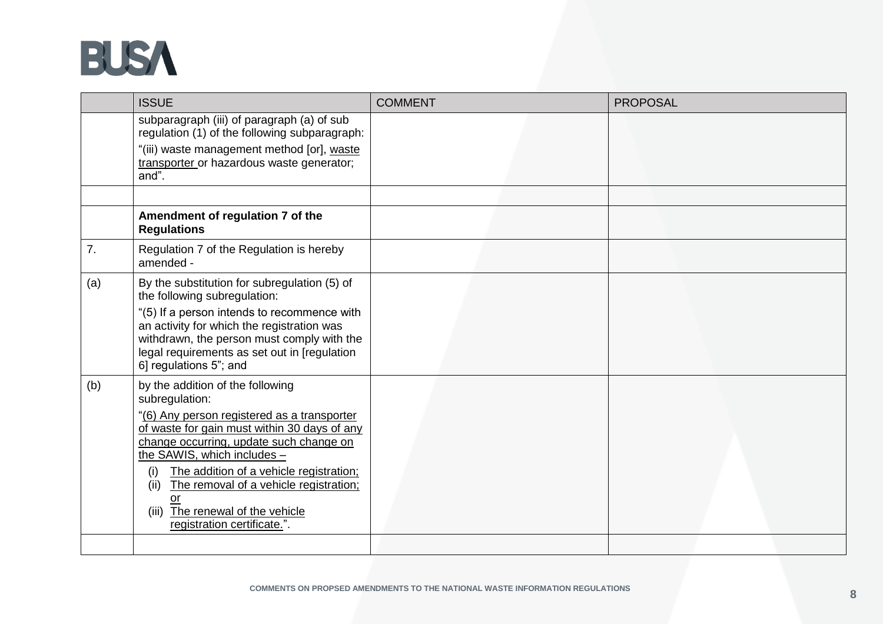

|     | <b>ISSUE</b>                                                                                                                                                                                                                                                                                                                                                                                                | <b>COMMENT</b> | <b>PROPOSAL</b> |
|-----|-------------------------------------------------------------------------------------------------------------------------------------------------------------------------------------------------------------------------------------------------------------------------------------------------------------------------------------------------------------------------------------------------------------|----------------|-----------------|
|     | subparagraph (iii) of paragraph (a) of sub<br>regulation (1) of the following subparagraph:<br>"(iii) waste management method [or], waste<br>transporter or hazardous waste generator;<br>$and$ ".                                                                                                                                                                                                          |                |                 |
|     |                                                                                                                                                                                                                                                                                                                                                                                                             |                |                 |
|     | Amendment of regulation 7 of the<br><b>Regulations</b>                                                                                                                                                                                                                                                                                                                                                      |                |                 |
| 7.  | Regulation 7 of the Regulation is hereby<br>amended -                                                                                                                                                                                                                                                                                                                                                       |                |                 |
| (a) | By the substitution for subregulation (5) of<br>the following subregulation:<br>"(5) If a person intends to recommence with<br>an activity for which the registration was<br>withdrawn, the person must comply with the<br>legal requirements as set out in [regulation]<br>6] regulations 5"; and                                                                                                          |                |                 |
| (b) | by the addition of the following<br>subregulation:<br>"(6) Any person registered as a transporter<br>of waste for gain must within 30 days of any<br>change occurring, update such change on<br>the SAWIS, which includes -<br>The addition of a vehicle registration;<br>(i)<br>The removal of a vehicle registration;<br>(ii)<br>or<br>The renewal of the vehicle<br>(iii)<br>registration certificate.". |                |                 |
|     |                                                                                                                                                                                                                                                                                                                                                                                                             |                |                 |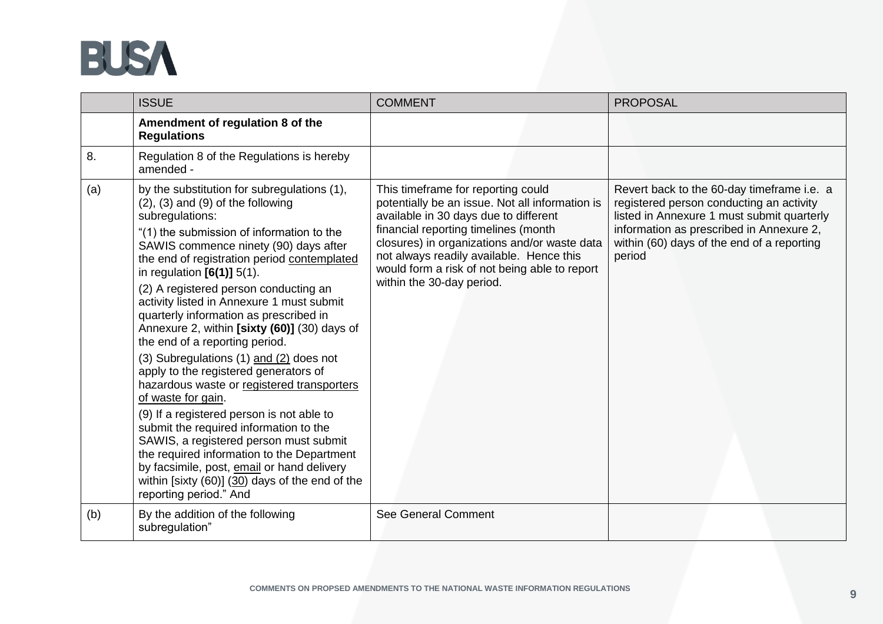

|     | <b>ISSUE</b>                                                                                                                                                                                                                                                                                                                                                                                                                                                                                                                                                                                                                                                                                                                                                                                                                                                                                                                                                        | <b>COMMENT</b>                                                                                                                                                                                                                                                                                                                                   | <b>PROPOSAL</b>                                                                                                                                                                                                                          |
|-----|---------------------------------------------------------------------------------------------------------------------------------------------------------------------------------------------------------------------------------------------------------------------------------------------------------------------------------------------------------------------------------------------------------------------------------------------------------------------------------------------------------------------------------------------------------------------------------------------------------------------------------------------------------------------------------------------------------------------------------------------------------------------------------------------------------------------------------------------------------------------------------------------------------------------------------------------------------------------|--------------------------------------------------------------------------------------------------------------------------------------------------------------------------------------------------------------------------------------------------------------------------------------------------------------------------------------------------|------------------------------------------------------------------------------------------------------------------------------------------------------------------------------------------------------------------------------------------|
|     | Amendment of regulation 8 of the<br><b>Regulations</b>                                                                                                                                                                                                                                                                                                                                                                                                                                                                                                                                                                                                                                                                                                                                                                                                                                                                                                              |                                                                                                                                                                                                                                                                                                                                                  |                                                                                                                                                                                                                                          |
| 8.  | Regulation 8 of the Regulations is hereby<br>amended -                                                                                                                                                                                                                                                                                                                                                                                                                                                                                                                                                                                                                                                                                                                                                                                                                                                                                                              |                                                                                                                                                                                                                                                                                                                                                  |                                                                                                                                                                                                                                          |
| (a) | by the substitution for subregulations (1),<br>$(2)$ , $(3)$ and $(9)$ of the following<br>subregulations:<br>"(1) the submission of information to the<br>SAWIS commence ninety (90) days after<br>the end of registration period contemplated<br>in regulation $[6(1)]$ 5(1).<br>(2) A registered person conducting an<br>activity listed in Annexure 1 must submit<br>quarterly information as prescribed in<br>Annexure 2, within [sixty (60)] (30) days of<br>the end of a reporting period.<br>(3) Subregulations (1) and (2) does not<br>apply to the registered generators of<br>hazardous waste or registered transporters<br>of waste for gain.<br>(9) If a registered person is not able to<br>submit the required information to the<br>SAWIS, a registered person must submit<br>the required information to the Department<br>by facsimile, post, email or hand delivery<br>within [sixty (60)] (30) days of the end of the<br>reporting period." And | This timeframe for reporting could<br>potentially be an issue. Not all information is<br>available in 30 days due to different<br>financial reporting timelines (month<br>closures) in organizations and/or waste data<br>not always readily available. Hence this<br>would form a risk of not being able to report<br>within the 30-day period. | Revert back to the 60-day timeframe i.e. a<br>registered person conducting an activity<br>listed in Annexure 1 must submit quarterly<br>information as prescribed in Annexure 2,<br>within (60) days of the end of a reporting<br>period |
| (b) | By the addition of the following<br>subregulation"                                                                                                                                                                                                                                                                                                                                                                                                                                                                                                                                                                                                                                                                                                                                                                                                                                                                                                                  | See General Comment                                                                                                                                                                                                                                                                                                                              |                                                                                                                                                                                                                                          |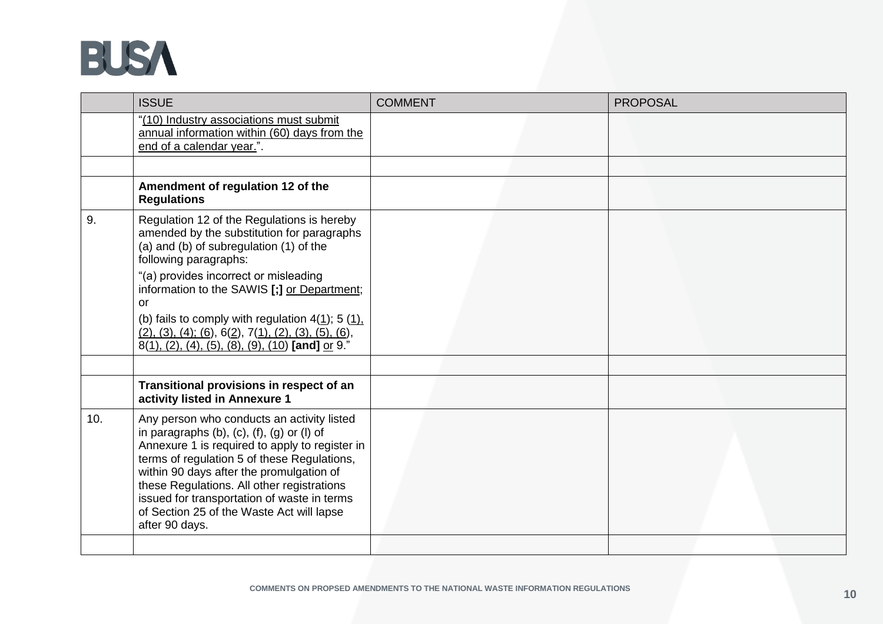

|     | <b>ISSUE</b>                                                                                                                                                                                                                                                                                                                                                                                                   | <b>COMMENT</b> | <b>PROPOSAL</b> |
|-----|----------------------------------------------------------------------------------------------------------------------------------------------------------------------------------------------------------------------------------------------------------------------------------------------------------------------------------------------------------------------------------------------------------------|----------------|-----------------|
|     | "(10) Industry associations must submit<br>annual information within (60) days from the<br>end of a calendar year.".                                                                                                                                                                                                                                                                                           |                |                 |
|     |                                                                                                                                                                                                                                                                                                                                                                                                                |                |                 |
|     | Amendment of regulation 12 of the<br><b>Regulations</b>                                                                                                                                                                                                                                                                                                                                                        |                |                 |
| 9.  | Regulation 12 of the Regulations is hereby<br>amended by the substitution for paragraphs<br>(a) and (b) of subregulation (1) of the<br>following paragraphs:<br>"(a) provides incorrect or misleading                                                                                                                                                                                                          |                |                 |
|     | information to the SAWIS [;] or Department;<br>or                                                                                                                                                                                                                                                                                                                                                              |                |                 |
|     | (b) fails to comply with regulation $4(\underline{1})$ ; 5 (1).<br>$(2), (3), (4), (6), 6(2), 7(1), (2), (3), (5), (6),$<br>8(1), (2), (4), (5), (8), (9), (10) [and] or 9."                                                                                                                                                                                                                                   |                |                 |
|     |                                                                                                                                                                                                                                                                                                                                                                                                                |                |                 |
|     | Transitional provisions in respect of an<br>activity listed in Annexure 1                                                                                                                                                                                                                                                                                                                                      |                |                 |
| 10. | Any person who conducts an activity listed<br>in paragraphs $(b)$ , $(c)$ , $(f)$ , $(g)$ or $(l)$ of<br>Annexure 1 is required to apply to register in<br>terms of regulation 5 of these Regulations,<br>within 90 days after the promulgation of<br>these Regulations. All other registrations<br>issued for transportation of waste in terms<br>of Section 25 of the Waste Act will lapse<br>after 90 days. |                |                 |
|     |                                                                                                                                                                                                                                                                                                                                                                                                                |                |                 |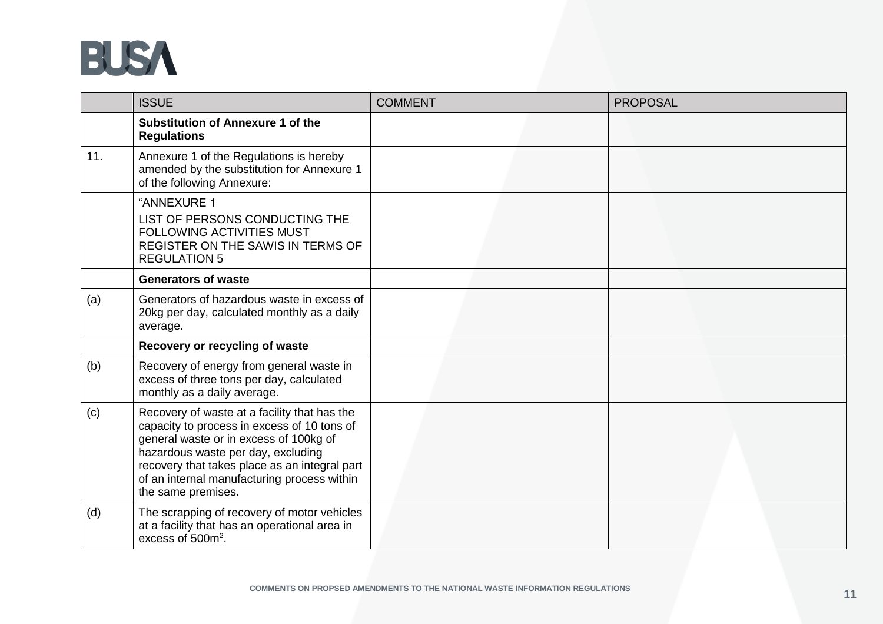

|     | <b>ISSUE</b>                                                                                                                                                                                                                                                                                      | <b>COMMENT</b> | <b>PROPOSAL</b> |
|-----|---------------------------------------------------------------------------------------------------------------------------------------------------------------------------------------------------------------------------------------------------------------------------------------------------|----------------|-----------------|
|     | <b>Substitution of Annexure 1 of the</b><br><b>Regulations</b>                                                                                                                                                                                                                                    |                |                 |
| 11. | Annexure 1 of the Regulations is hereby<br>amended by the substitution for Annexure 1<br>of the following Annexure:                                                                                                                                                                               |                |                 |
|     | "ANNEXURE 1<br>LIST OF PERSONS CONDUCTING THE<br><b>FOLLOWING ACTIVITIES MUST</b><br>REGISTER ON THE SAWIS IN TERMS OF<br><b>REGULATION 5</b>                                                                                                                                                     |                |                 |
|     | <b>Generators of waste</b>                                                                                                                                                                                                                                                                        |                |                 |
| (a) | Generators of hazardous waste in excess of<br>20kg per day, calculated monthly as a daily<br>average.                                                                                                                                                                                             |                |                 |
|     | Recovery or recycling of waste                                                                                                                                                                                                                                                                    |                |                 |
| (b) | Recovery of energy from general waste in<br>excess of three tons per day, calculated<br>monthly as a daily average.                                                                                                                                                                               |                |                 |
| (c) | Recovery of waste at a facility that has the<br>capacity to process in excess of 10 tons of<br>general waste or in excess of 100kg of<br>hazardous waste per day, excluding<br>recovery that takes place as an integral part<br>of an internal manufacturing process within<br>the same premises. |                |                 |
| (d) | The scrapping of recovery of motor vehicles<br>at a facility that has an operational area in<br>excess of 500m <sup>2</sup> .                                                                                                                                                                     |                |                 |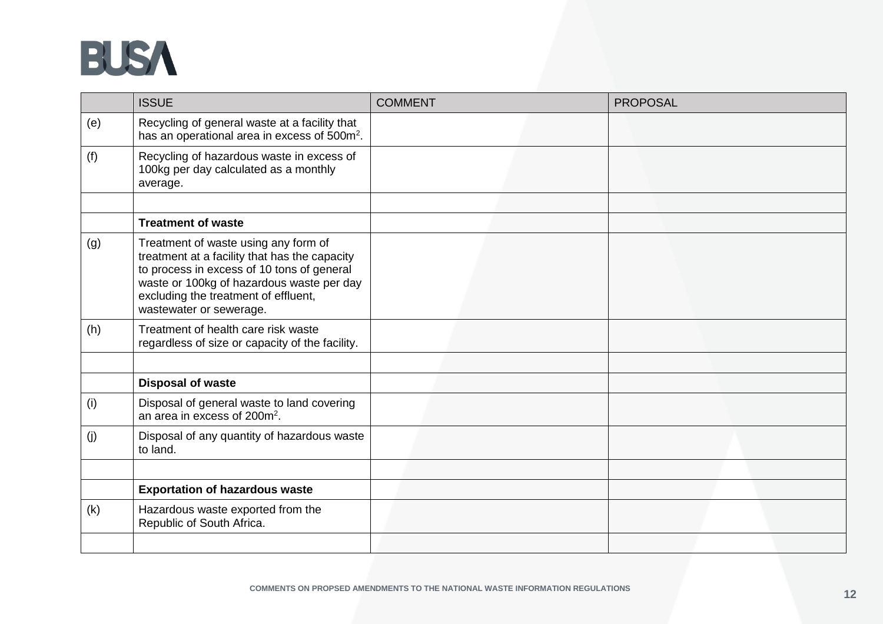

|     | <b>ISSUE</b>                                                                                                                                                                                                                                        | <b>COMMENT</b> | <b>PROPOSAL</b> |
|-----|-----------------------------------------------------------------------------------------------------------------------------------------------------------------------------------------------------------------------------------------------------|----------------|-----------------|
| (e) | Recycling of general waste at a facility that<br>has an operational area in excess of 500m <sup>2</sup> .                                                                                                                                           |                |                 |
| (f) | Recycling of hazardous waste in excess of<br>100kg per day calculated as a monthly<br>average.                                                                                                                                                      |                |                 |
|     |                                                                                                                                                                                                                                                     |                |                 |
|     | <b>Treatment of waste</b>                                                                                                                                                                                                                           |                |                 |
| (g) | Treatment of waste using any form of<br>treatment at a facility that has the capacity<br>to process in excess of 10 tons of general<br>waste or 100kg of hazardous waste per day<br>excluding the treatment of effluent,<br>wastewater or sewerage. |                |                 |
| (h) | Treatment of health care risk waste<br>regardless of size or capacity of the facility.                                                                                                                                                              |                |                 |
|     |                                                                                                                                                                                                                                                     |                |                 |
|     | <b>Disposal of waste</b>                                                                                                                                                                                                                            |                |                 |
| (i) | Disposal of general waste to land covering<br>an area in excess of 200m <sup>2</sup> .                                                                                                                                                              |                |                 |
| (j) | Disposal of any quantity of hazardous waste<br>to land.                                                                                                                                                                                             |                |                 |
|     |                                                                                                                                                                                                                                                     |                |                 |
|     | <b>Exportation of hazardous waste</b>                                                                                                                                                                                                               |                |                 |
| (k) | Hazardous waste exported from the<br>Republic of South Africa.                                                                                                                                                                                      |                |                 |
|     |                                                                                                                                                                                                                                                     |                |                 |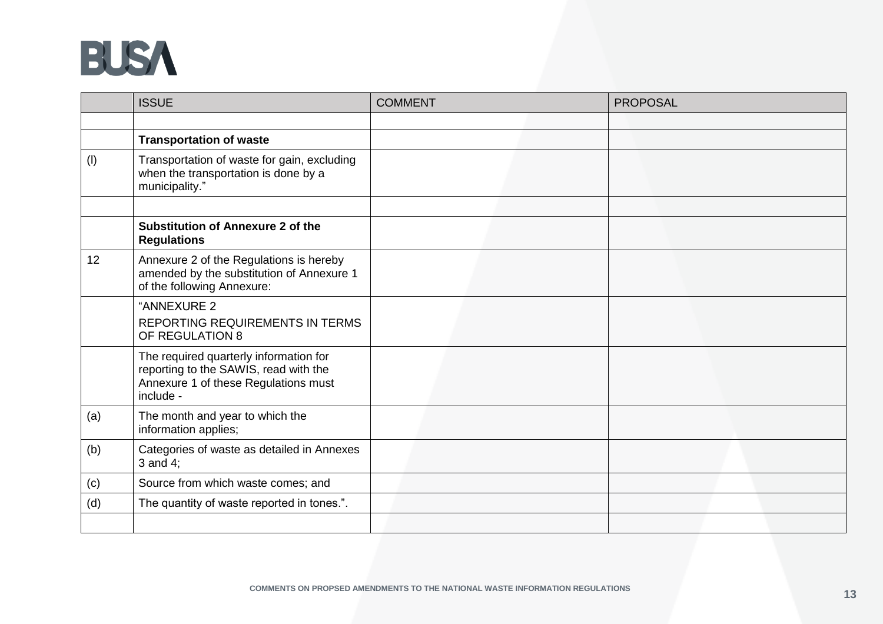

|     | <b>ISSUE</b>                                                                                                                         | <b>COMMENT</b> | <b>PROPOSAL</b> |
|-----|--------------------------------------------------------------------------------------------------------------------------------------|----------------|-----------------|
|     |                                                                                                                                      |                |                 |
|     | <b>Transportation of waste</b>                                                                                                       |                |                 |
| (1) | Transportation of waste for gain, excluding<br>when the transportation is done by a<br>municipality."                                |                |                 |
|     |                                                                                                                                      |                |                 |
|     | <b>Substitution of Annexure 2 of the</b><br><b>Regulations</b>                                                                       |                |                 |
| 12  | Annexure 2 of the Regulations is hereby<br>amended by the substitution of Annexure 1<br>of the following Annexure:                   |                |                 |
|     | "ANNEXURE 2<br><b>REPORTING REQUIREMENTS IN TERMS</b><br>OF REGULATION 8                                                             |                |                 |
|     | The required quarterly information for<br>reporting to the SAWIS, read with the<br>Annexure 1 of these Regulations must<br>include - |                |                 |
| (a) | The month and year to which the<br>information applies;                                                                              |                |                 |
| (b) | Categories of waste as detailed in Annexes<br>$3$ and $4$ ;                                                                          |                |                 |
| (c) | Source from which waste comes; and                                                                                                   |                |                 |
| (d) | The quantity of waste reported in tones.".                                                                                           |                |                 |
|     |                                                                                                                                      |                |                 |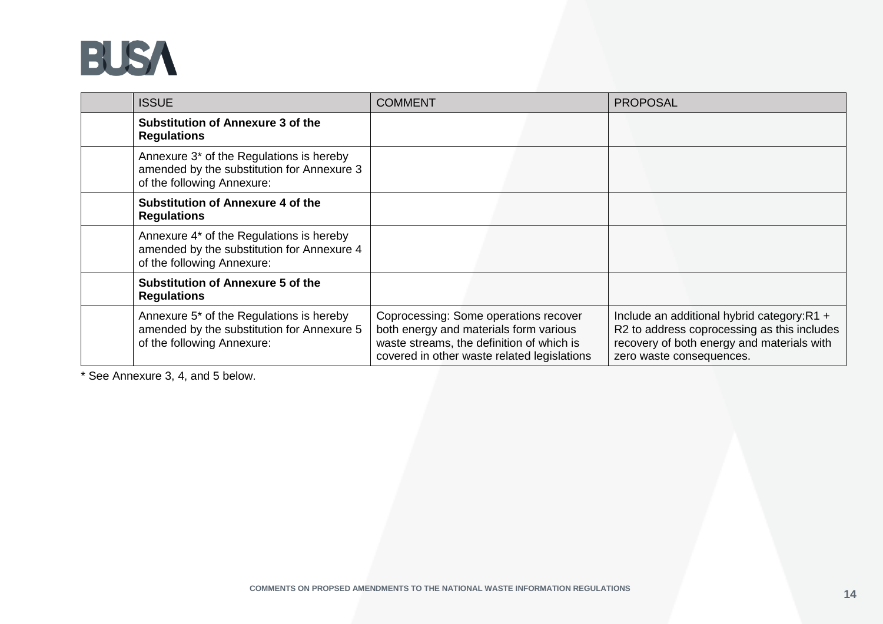

| <b>ISSUE</b>                                                                                                         | <b>COMMENT</b>                                                                                                                                                              | <b>PROPOSAL</b>                                                                                                                                                     |
|----------------------------------------------------------------------------------------------------------------------|-----------------------------------------------------------------------------------------------------------------------------------------------------------------------------|---------------------------------------------------------------------------------------------------------------------------------------------------------------------|
| <b>Substitution of Annexure 3 of the</b><br><b>Regulations</b>                                                       |                                                                                                                                                                             |                                                                                                                                                                     |
| Annexure 3* of the Regulations is hereby<br>amended by the substitution for Annexure 3<br>of the following Annexure: |                                                                                                                                                                             |                                                                                                                                                                     |
| <b>Substitution of Annexure 4 of the</b><br><b>Regulations</b>                                                       |                                                                                                                                                                             |                                                                                                                                                                     |
| Annexure 4* of the Regulations is hereby<br>amended by the substitution for Annexure 4<br>of the following Annexure: |                                                                                                                                                                             |                                                                                                                                                                     |
| <b>Substitution of Annexure 5 of the</b><br><b>Regulations</b>                                                       |                                                                                                                                                                             |                                                                                                                                                                     |
| Annexure 5* of the Regulations is hereby<br>amended by the substitution for Annexure 5<br>of the following Annexure: | Coprocessing: Some operations recover<br>both energy and materials form various<br>waste streams, the definition of which is<br>covered in other waste related legislations | Include an additional hybrid category:R1 +<br>R2 to address coprocessing as this includes<br>recovery of both energy and materials with<br>zero waste consequences. |

\* See Annexure 3, 4, and 5 below.